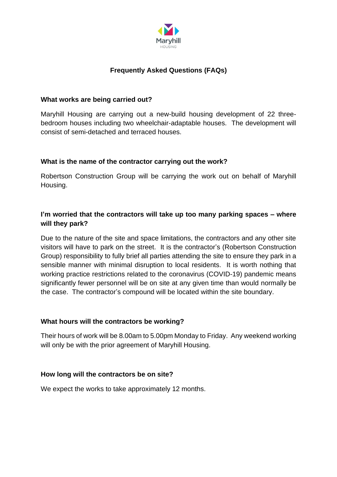

# **Frequently Asked Questions (FAQs)**

### **What works are being carried out?**

Maryhill Housing are carrying out a new-build housing development of 22 threebedroom houses including two wheelchair-adaptable houses. The development will consist of semi-detached and terraced houses.

# **What is the name of the contractor carrying out the work?**

Robertson Construction Group will be carrying the work out on behalf of Maryhill Housing.

# **I'm worried that the contractors will take up too many parking spaces – where will they park?**

Due to the nature of the site and space limitations, the contractors and any other site visitors will have to park on the street. It is the contractor's (Robertson Construction Group) responsibility to fully brief all parties attending the site to ensure they park in a sensible manner with minimal disruption to local residents. It is worth nothing that working practice restrictions related to the coronavirus (COVID-19) pandemic means significantly fewer personnel will be on site at any given time than would normally be the case. The contractor's compound will be located within the site boundary.

# **What hours will the contractors be working?**

Their hours of work will be 8.00am to 5.00pm Monday to Friday. Any weekend working will only be with the prior agreement of Maryhill Housing.

# **How long will the contractors be on site?**

We expect the works to take approximately 12 months.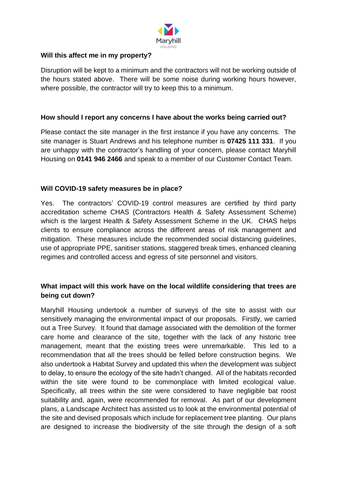

### **Will this affect me in my property?**

Disruption will be kept to a minimum and the contractors will not be working outside of the hours stated above. There will be some noise during working hours however, where possible, the contractor will try to keep this to a minimum.

#### **How should I report any concerns I have about the works being carried out?**

Please contact the site manager in the first instance if you have any concerns. The site manager is Stuart Andrews and his telephone number is **07425 111 331**. If you are unhappy with the contractor's handling of your concern, please contact Maryhill Housing on **0141 946 2466** and speak to a member of our Customer Contact Team.

### **Will COVID-19 safety measures be in place?**

Yes. The contractors' COVID-19 control measures are certified by third party accreditation scheme CHAS (Contractors Health & Safety Assessment Scheme) which is the largest Health & Safety Assessment Scheme in the UK. CHAS helps clients to ensure compliance across the different areas of risk management and mitigation. These measures include the recommended social distancing guidelines, use of appropriate PPE, sanitiser stations, staggered break times, enhanced cleaning regimes and controlled access and egress of site personnel and visitors.

# **What impact will this work have on the local wildlife considering that trees are being cut down?**

Maryhill Housing undertook a number of surveys of the site to assist with our sensitively managing the environmental impact of our proposals. Firstly, we carried out a Tree Survey. It found that damage associated with the demolition of the former care home and clearance of the site, together with the lack of any historic tree management, meant that the existing trees were unremarkable. This led to a recommendation that all the trees should be felled before construction begins. We also undertook a Habitat Survey and updated this when the development was subject to delay, to ensure the ecology of the site hadn't changed. All of the habitats recorded within the site were found to be commonplace with limited ecological value. Specifically, all trees within the site were considered to have negligible bat roost suitability and, again, were recommended for removal. As part of our development plans, a Landscape Architect has assisted us to look at the environmental potential of the site and devised proposals which include for replacement tree planting. Our plans are designed to increase the biodiversity of the site through the design of a soft